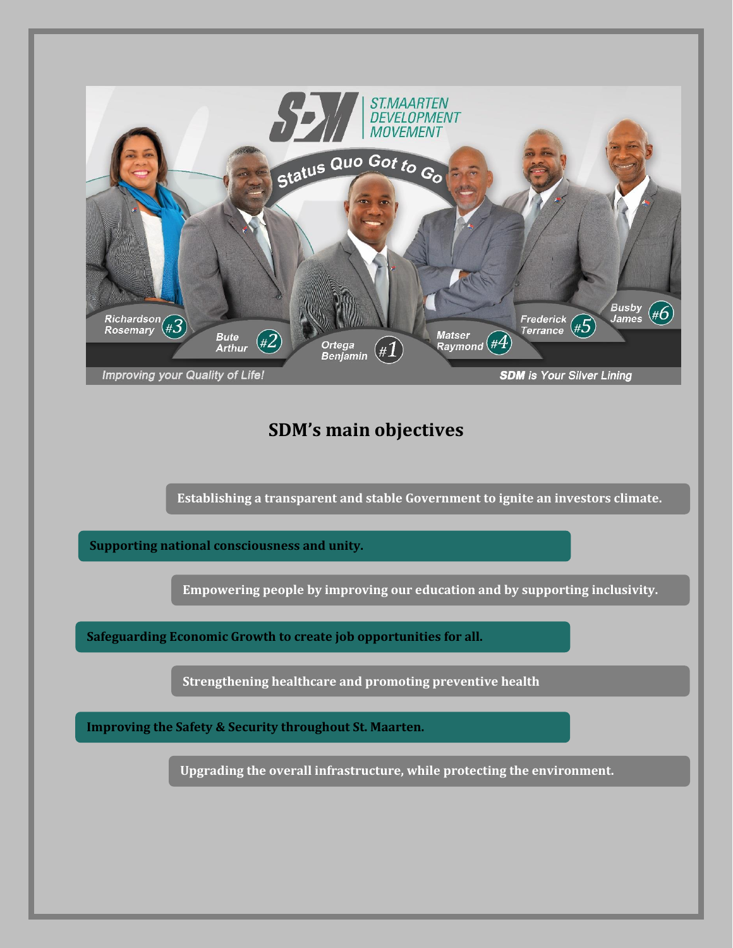

# **SDM's main objectives**

**Establishing a transparent and stable Government to ignite an investors climate.**

**Supporting national consciousness and unity.**

**Empowering people by improving our education and by supporting inclusivity.**

**Safeguarding Economic Growth to create job opportunities for all.**

**Strengthening healthcare and promoting preventive health**

**Improving the Safety & Security throughout St. Maarten.**

**Upgrading the overall infrastructure, while protecting the environment.**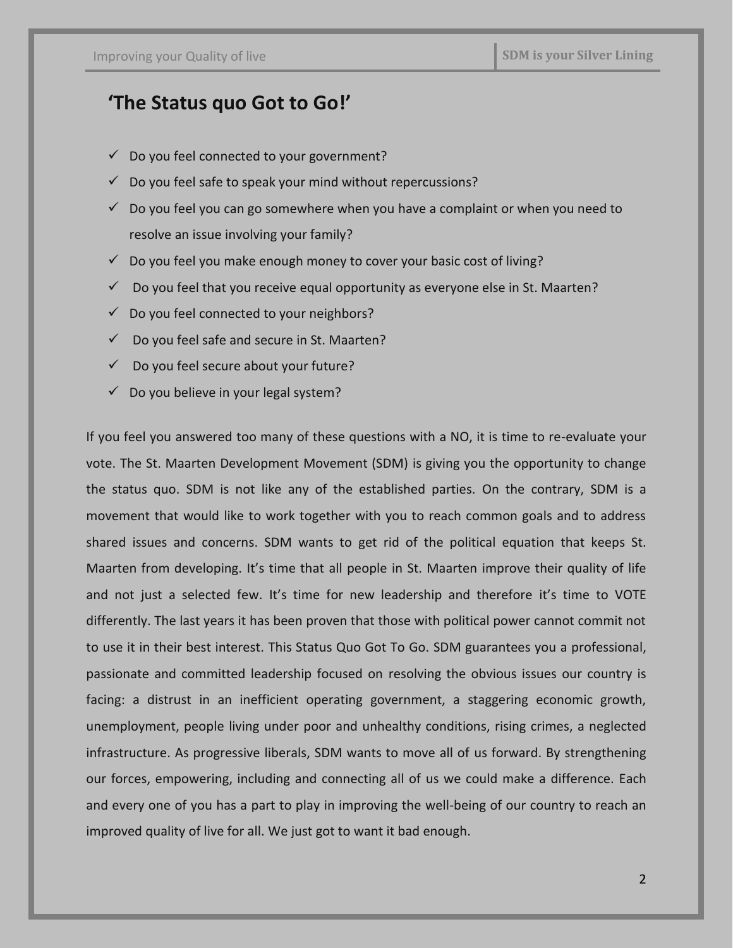# **'The Status quo Got to Go!'**

- $\checkmark$  Do you feel connected to your government?
- $\checkmark$  Do you feel safe to speak your mind without repercussions?
- $\checkmark$  Do you feel you can go somewhere when you have a complaint or when you need to resolve an issue involving your family?
- $\checkmark$  Do you feel you make enough money to cover your basic cost of living?
- $\checkmark$  Do you feel that you receive equal opportunity as everyone else in St. Maarten?
- $\checkmark$  Do you feel connected to your neighbors?
- $\checkmark$  Do you feel safe and secure in St. Maarten?
- $\checkmark$  Do you feel secure about your future?
- $\checkmark$  Do you believe in your legal system?

If you feel you answered too many of these questions with a NO, it is time to re-evaluate your vote. The St. Maarten Development Movement (SDM) is giving you the opportunity to change the status quo. SDM is not like any of the established parties. On the contrary, SDM is a movement that would like to work together with you to reach common goals and to address shared issues and concerns. SDM wants to get rid of the political equation that keeps St. Maarten from developing. It's time that all people in St. Maarten improve their quality of life and not just a selected few. It's time for new leadership and therefore it's time to VOTE differently. The last years it has been proven that those with political power cannot commit not to use it in their best interest. This Status Quo Got To Go. SDM guarantees you a professional, passionate and committed leadership focused on resolving the obvious issues our country is facing: a distrust in an inefficient operating government, a staggering economic growth, unemployment, people living under poor and unhealthy conditions, rising crimes, a neglected infrastructure. As progressive liberals, SDM wants to move all of us forward. By strengthening our forces, empowering, including and connecting all of us we could make a difference. Each and every one of you has a part to play in improving the well-being of our country to reach an improved quality of live for all. We just got to want it bad enough.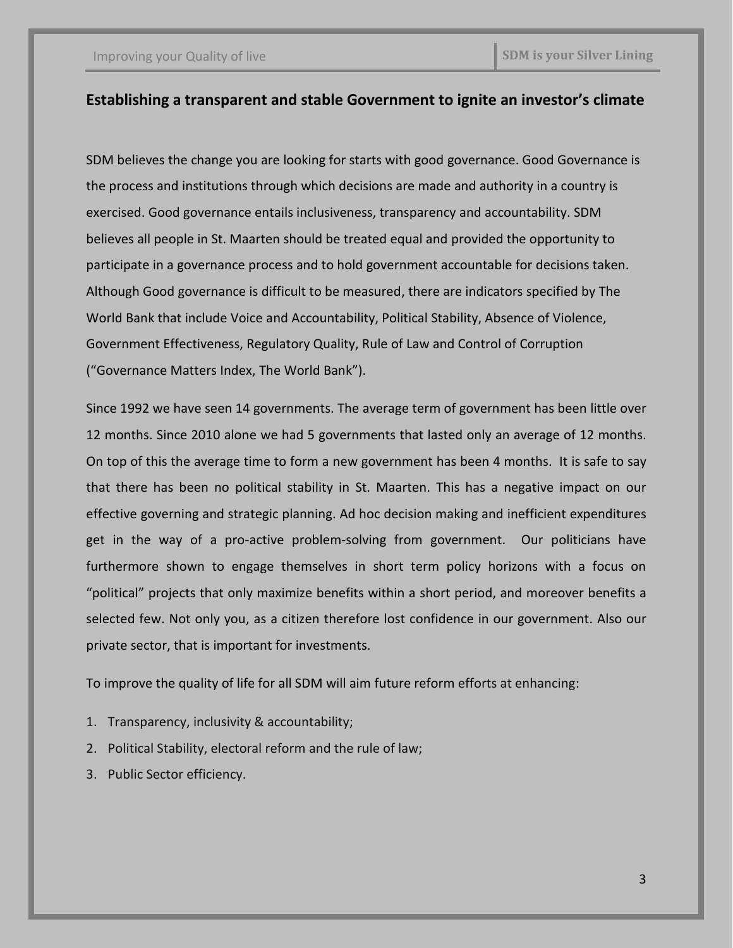## **Establishing a transparent and stable Government to ignite an investor's climate**

SDM believes the change you are looking for starts with good governance. Good Governance is the process and institutions through which decisions are made and authority in a country is exercised. Good governance entails inclusiveness, transparency and accountability. SDM believes all people in St. Maarten should be treated equal and provided the opportunity to participate in a governance process and to hold government accountable for decisions taken. Although Good governance is difficult to be measured, there are indicators specified by The World Bank that include Voice and Accountability, Political Stability, Absence of Violence, Government Effectiveness, Regulatory Quality, Rule of Law and Control of Corruption ("Governance Matters Index, The World Bank").

Since 1992 we have seen 14 governments. The average term of government has been little over 12 months. Since 2010 alone we had 5 governments that lasted only an average of 12 months. On top of this the average time to form a new government has been 4 months. It is safe to say that there has been no political stability in St. Maarten. This has a negative impact on our effective governing and strategic planning. Ad hoc decision making and inefficient expenditures get in the way of a pro-active problem-solving from government. Our politicians have furthermore shown to engage themselves in short term policy horizons with a focus on "political" projects that only maximize benefits within a short period, and moreover benefits a selected few. Not only you, as a citizen therefore lost confidence in our government. Also our private sector, that is important for investments.

To improve the quality of life for all SDM will aim future reform efforts at enhancing:

- 1. Transparency, inclusivity & accountability;
- 2. Political Stability, electoral reform and the rule of law;
- 3. Public Sector efficiency.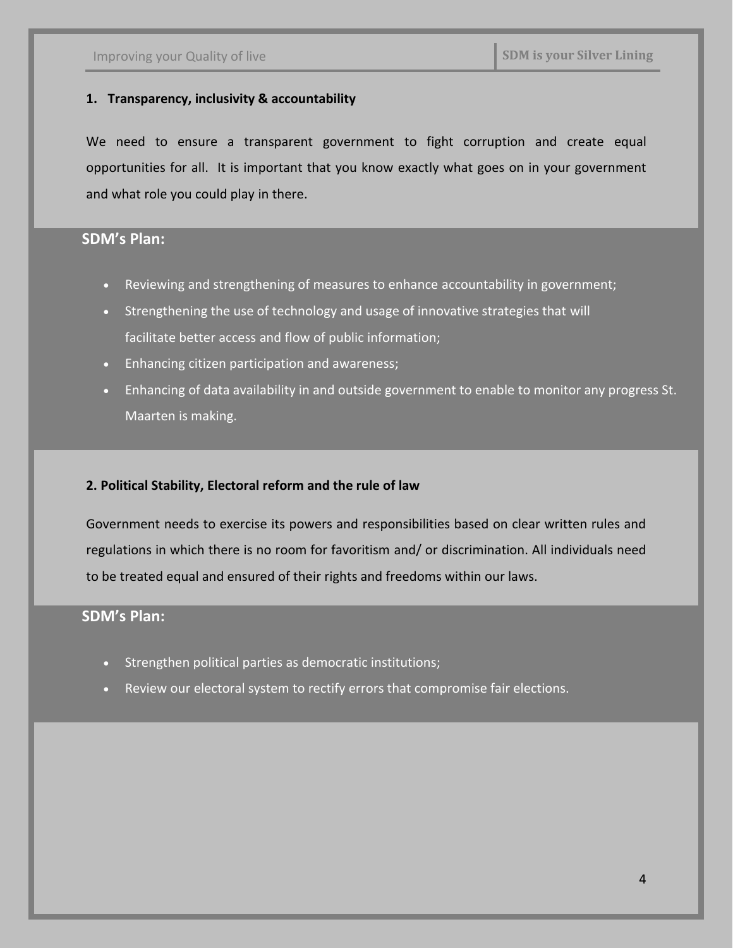#### **1. Transparency, inclusivity & accountability**

We need to ensure a transparent government to fight corruption and create equal opportunities for all. It is important that you know exactly what goes on in your government and what role you could play in there.

## **SDM's Plan:**

- Reviewing and strengthening of measures to enhance accountability in government;
- Strengthening the use of technology and usage of innovative strategies that will facilitate better access and flow of public information;
- Enhancing citizen participation and awareness;
- Enhancing of data availability in and outside government to enable to monitor any progress St. Maarten is making.

#### **2. Political Stability, Electoral reform and the rule of law**

Government needs to exercise its powers and responsibilities based on clear written rules and regulations in which there is no room for favoritism and/ or discrimination. All individuals need to be treated equal and ensured of their rights and freedoms within our laws.

- Strengthen political parties as democratic institutions;
- Review our electoral system to rectify errors that compromise fair elections.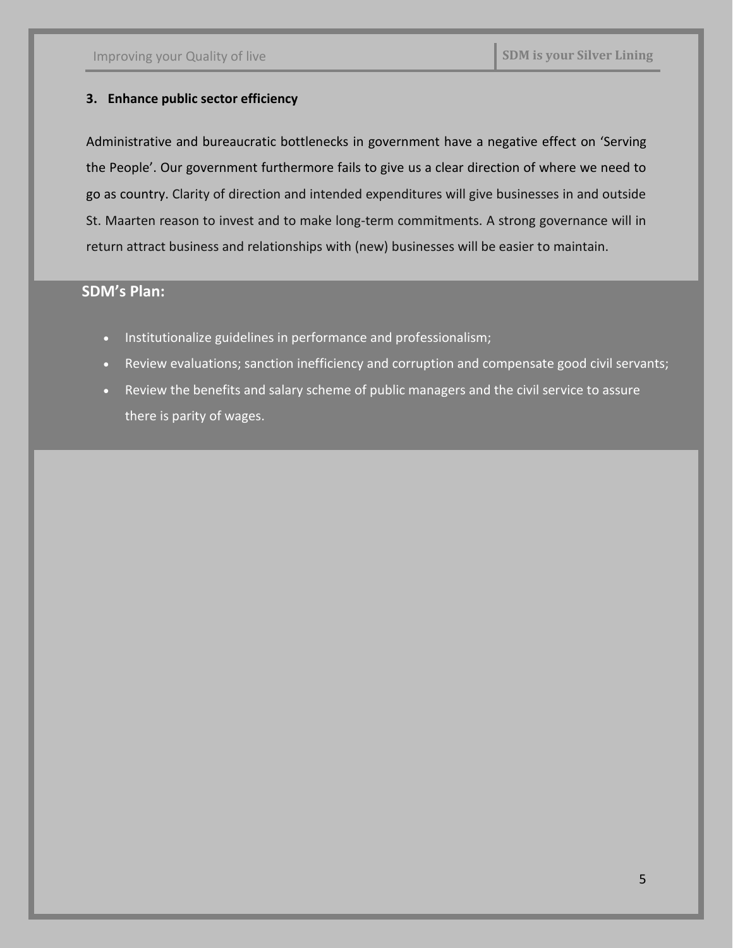#### **3. Enhance public sector efficiency**

Administrative and bureaucratic bottlenecks in government have a negative effect on 'Serving the People'. Our government furthermore fails to give us a clear direction of where we need to go as country. Clarity of direction and intended expenditures will give businesses in and outside St. Maarten reason to invest and to make long-term commitments. A strong governance will in return attract business and relationships with (new) businesses will be easier to maintain.

- Institutionalize guidelines in performance and professionalism;
- Review evaluations; sanction inefficiency and corruption and compensate good civil servants;
- Review the benefits and salary scheme of public managers and the civil service to assure there is parity of wages.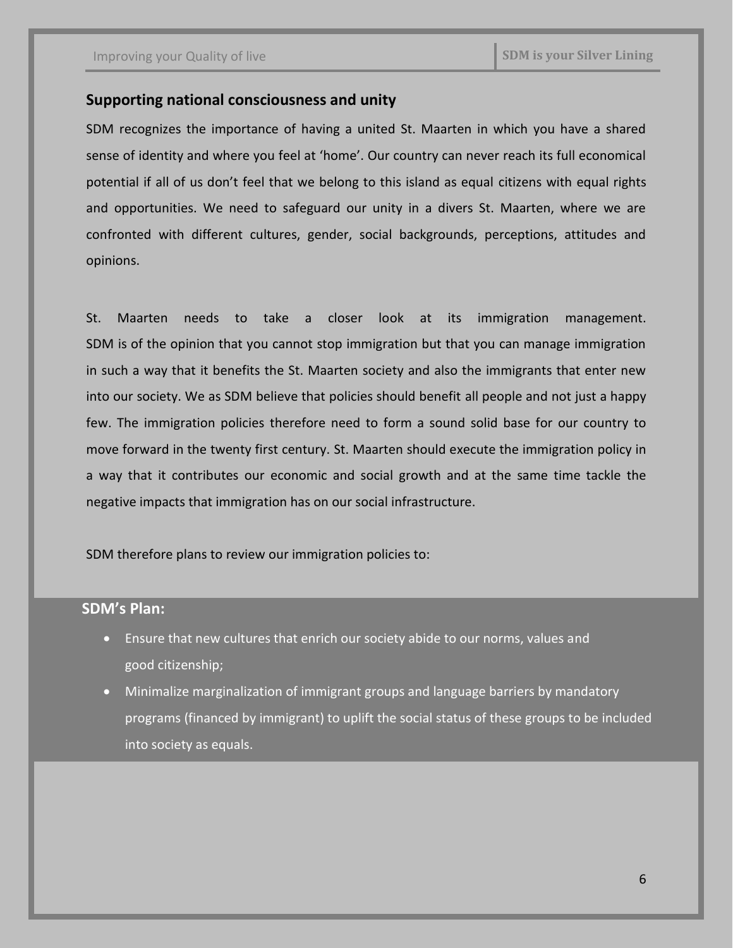#### **Supporting national consciousness and unity**

SDM recognizes the importance of having a united St. Maarten in which you have a shared sense of identity and where you feel at 'home'. Our country can never reach its full economical potential if all of us don't feel that we belong to this island as equal citizens with equal rights and opportunities. We need to safeguard our unity in a divers St. Maarten, where we are confronted with different cultures, gender, social backgrounds, perceptions, attitudes and opinions.

St. Maarten needs to take a closer look at its immigration management. SDM is of the opinion that you cannot stop immigration but that you can manage immigration in such a way that it benefits the St. Maarten society and also the immigrants that enter new into our society. We as SDM believe that policies should benefit all people and not just a happy few. The immigration policies therefore need to form a sound solid base for our country to move forward in the twenty first century. St. Maarten should execute the immigration policy in a way that it contributes our economic and social growth and at the same time tackle the negative impacts that immigration has on our social infrastructure.

SDM therefore plans to review our immigration policies to:

- Ensure that new cultures that enrich our society abide to our norms, values and good citizenship;
- Minimalize marginalization of immigrant groups and language barriers by mandatory programs (financed by immigrant) to uplift the social status of these groups to be included into society as equals.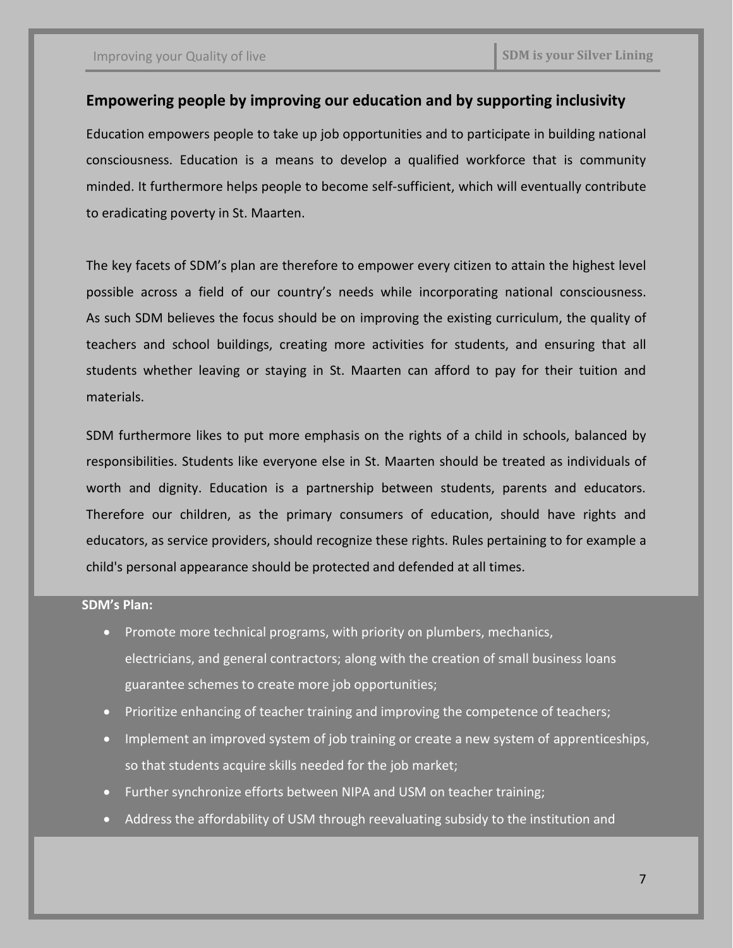## **Empowering people by improving our education and by supporting inclusivity**

Education empowers people to take up job opportunities and to participate in building national consciousness. Education is a means to develop a qualified workforce that is community minded. It furthermore helps people to become self-sufficient, which will eventually contribute to eradicating poverty in St. Maarten.

The key facets of SDM's plan are therefore to empower every citizen to attain the highest level possible across a field of our country's needs while incorporating national consciousness. As such SDM believes the focus should be on improving the existing curriculum, the quality of teachers and school buildings, creating more activities for students, and ensuring that all students whether leaving or staying in St. Maarten can afford to pay for their tuition and materials.

SDM furthermore likes to put more emphasis on the rights of a child in schools, balanced by responsibilities. Students like everyone else in St. Maarten should be treated as individuals of worth and dignity. Education is a partnership between students, parents and educators. Therefore our children, as the primary consumers of education, should have rights and educators, as service providers, should recognize these rights. Rules pertaining to for example a child's personal appearance should be protected and defended at all times.

- Promote more technical programs, with priority on plumbers, mechanics, electricians, and general contractors; along with the creation of small business loans guarantee schemes to create more job opportunities;
- Prioritize enhancing of teacher training and improving the competence of teachers;
- Implement an improved system of job training or create a new system of apprenticeships, so that students acquire skills needed for the job market;
- Further synchronize efforts between NIPA and USM on teacher training;
- Address the affordability of USM through reevaluating subsidy to the institution and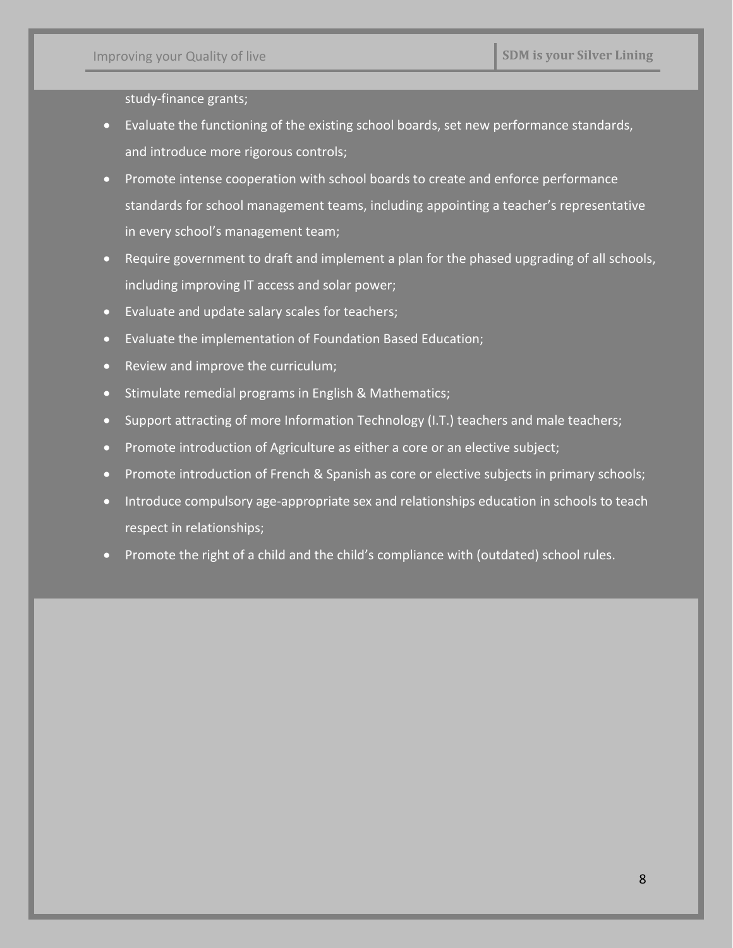study-finance grants;

- Evaluate the functioning of the existing school boards, set new performance standards, and introduce more rigorous controls;
- Promote intense cooperation with school boards to create and enforce performance standards for school management teams, including appointing a teacher's representative in every school's management team;
- Require government to draft and implement a plan for the phased upgrading of all schools, including improving IT access and solar power;
- Evaluate and update salary scales for teachers;
- Evaluate the implementation of Foundation Based Education;
- Review and improve the curriculum;
- Stimulate remedial programs in English & Mathematics;
- Support attracting of more Information Technology (I.T.) teachers and male teachers;
- Promote introduction of Agriculture as either a core or an elective subject;
- Promote introduction of French & Spanish as core or elective subjects in primary schools;
- Introduce compulsory age-appropriate sex and relationships education in schools to teach respect in relationships;
- Promote the right of a child and the child's compliance with (outdated) school rules.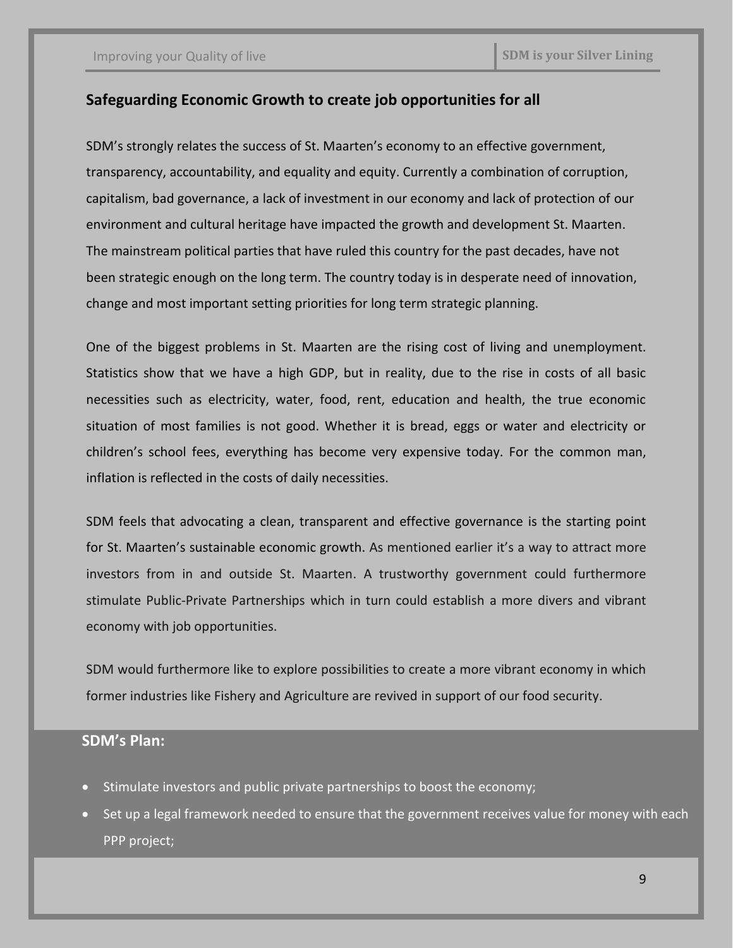# **Safeguarding Economic Growth to create job opportunities for all**

SDM's strongly relates the success of St. Maarten's economy to an effective government, transparency, accountability, and equality and equity. Currently a combination of corruption, capitalism, bad governance, a lack of investment in our economy and lack of protection of our environment and cultural heritage have impacted the growth and development St. Maarten. The mainstream political parties that have ruled this country for the past decades, have not been strategic enough on the long term. The country today is in desperate need of innovation, change and most important setting priorities for long term strategic planning.

One of the biggest problems in St. Maarten are the rising cost of living and unemployment. Statistics show that we have a high GDP, but in reality, due to the rise in costs of all basic necessities such as electricity, water, food, rent, education and health, the true economic situation of most families is not good. Whether it is bread, eggs or water and electricity or children's school fees, everything has become very expensive today. For the common man, inflation is reflected in the costs of daily necessities.

SDM feels that advocating a clean, transparent and effective governance is the starting point for St. Maarten's sustainable economic growth. As mentioned earlier it's a way to attract more investors from in and outside St. Maarten. A trustworthy government could furthermore stimulate Public-Private Partnerships which in turn could establish a more divers and vibrant economy with job opportunities.

SDM would furthermore like to explore possibilities to create a more vibrant economy in which former industries like Fishery and Agriculture are revived in support of our food security.

- Stimulate investors and public private partnerships to boost the economy;
- Set up a legal framework needed to ensure that the government receives value for money with each PPP project;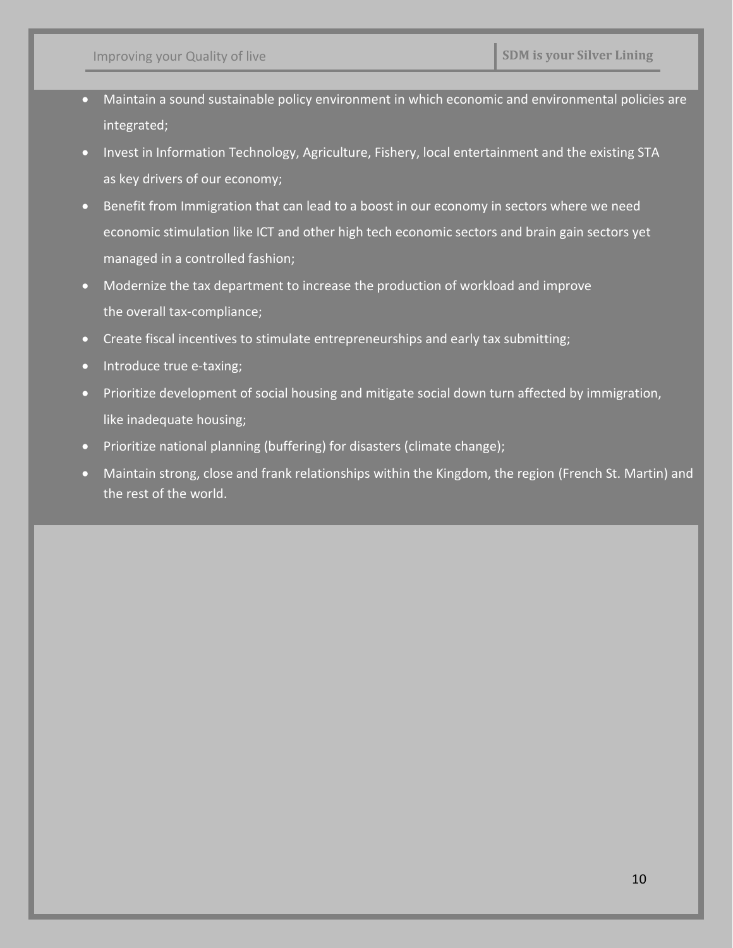- Maintain a sound sustainable policy environment in which economic and environmental policies are integrated;
- Invest in Information Technology, Agriculture, Fishery, local entertainment and the existing STA as key drivers of our economy;
- Benefit from Immigration that can lead to a boost in our economy in sectors where we need economic stimulation like ICT and other high tech economic sectors and brain gain sectors yet managed in a controlled fashion;
- Modernize the tax department to increase the production of workload and improve the overall tax-compliance;
- Create fiscal incentives to stimulate entrepreneurships and early tax submitting;
- Introduce true e-taxing;
- Prioritize development of social housing and mitigate social down turn affected by immigration, like inadequate housing;
- Prioritize national planning (buffering) for disasters (climate change);
- Maintain strong, close and frank relationships within the Kingdom, the region (French St. Martin) and the rest of the world.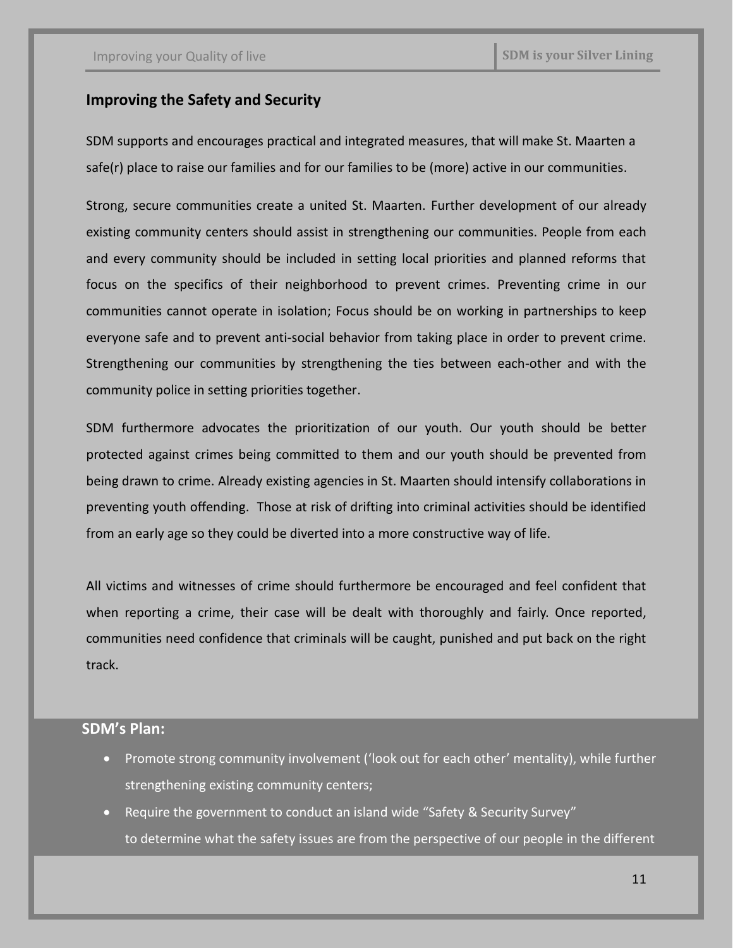### **Improving the Safety and Security**

SDM supports and encourages practical and integrated measures, that will make St. Maarten a safe(r) place to raise our families and for our families to be (more) active in our communities.

Strong, secure communities create a united St. Maarten. Further development of our already existing community centers should assist in strengthening our communities. People from each and every community should be included in setting local priorities and planned reforms that focus on the specifics of their neighborhood to prevent crimes. Preventing crime in our communities cannot operate in isolation; Focus should be on working in partnerships to keep everyone safe and to prevent anti-social behavior from taking place in order to prevent crime. Strengthening our communities by strengthening the ties between each-other and with the community police in setting priorities together.

SDM furthermore advocates the prioritization of our youth. Our youth should be better protected against crimes being committed to them and our youth should be prevented from being drawn to crime. Already existing agencies in St. Maarten should intensify collaborations in preventing youth offending. Those at risk of drifting into criminal activities should be identified from an early age so they could be diverted into a more constructive way of life.

All victims and witnesses of crime should furthermore be encouraged and feel confident that when reporting a crime, their case will be dealt with thoroughly and fairly. Once reported, communities need confidence that criminals will be caught, punished and put back on the right track.

- Promote strong community involvement ('look out for each other' mentality), while further strengthening existing community centers;
- Require the government to conduct an island wide "Safety & Security Survey" to determine what the safety issues are from the perspective of our people in the different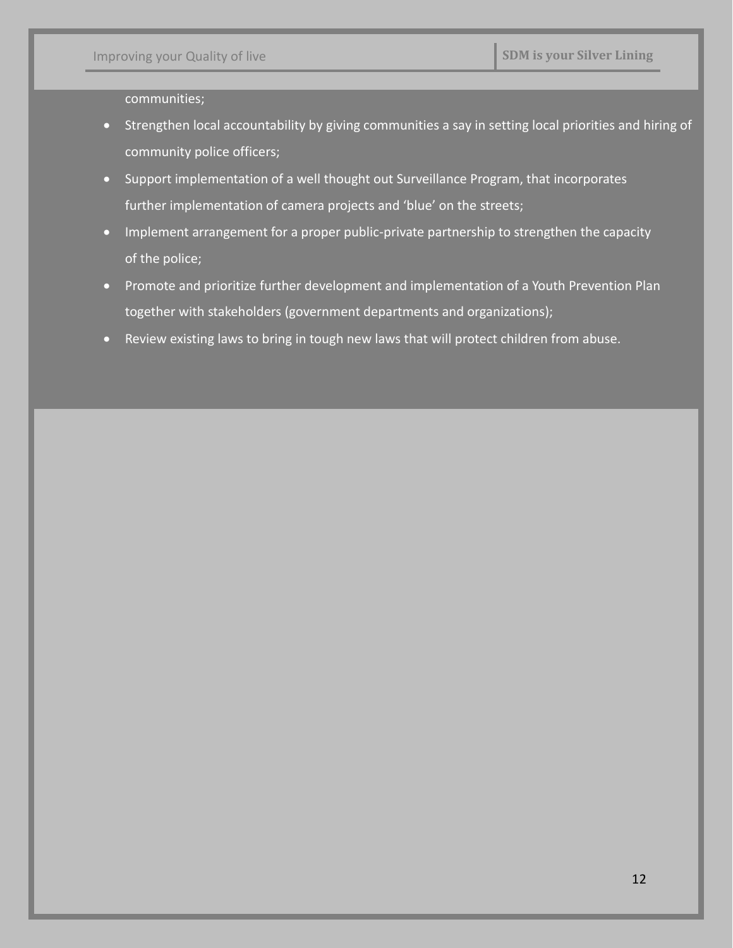communities;

- Strengthen local accountability by giving communities a say in setting local priorities and hiring of community police officers;
- Support implementation of a well thought out Surveillance Program, that incorporates further implementation of camera projects and 'blue' on the streets;
- Implement arrangement for a proper public-private partnership to strengthen the capacity of the police;
- Promote and prioritize further development and implementation of a Youth Prevention Plan together with stakeholders (government departments and organizations);
- Review existing laws to bring in tough new laws that will protect children from abuse.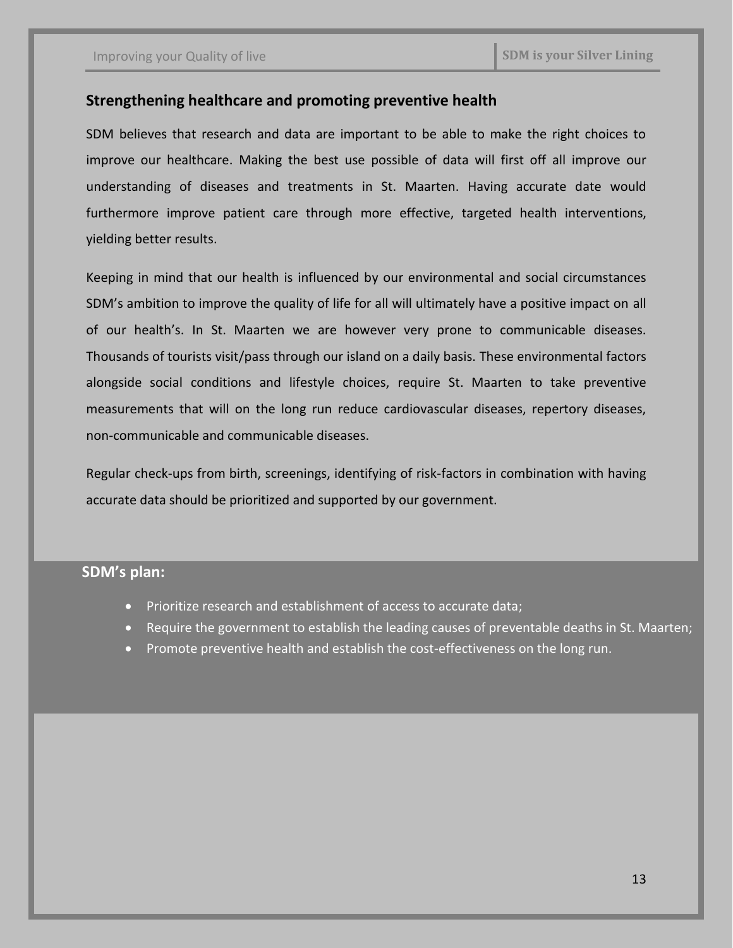### **Strengthening healthcare and promoting preventive health**

SDM believes that research and data are important to be able to make the right choices to improve our healthcare. Making the best use possible of data will first off all improve our understanding of diseases and treatments in St. Maarten. Having accurate date would furthermore improve patient care through more effective, targeted health interventions, yielding better results.

Keeping in mind that our health is influenced by our environmental and social circumstances SDM's ambition to improve the quality of life for all will ultimately have a positive impact on all of our health's. In St. Maarten we are however very prone to communicable diseases. Thousands of tourists visit/pass through our island on a daily basis. These environmental factors alongside social conditions and lifestyle choices, require St. Maarten to take preventive measurements that will on the long run reduce cardiovascular diseases, repertory diseases, non-communicable and communicable diseases.

Regular check-ups from birth, screenings, identifying of risk-factors in combination with having accurate data should be prioritized and supported by our government.

- Prioritize research and establishment of access to accurate data;
- Require the government to establish the leading causes of preventable deaths in St. Maarten;
- Promote preventive health and establish the cost-effectiveness on the long run.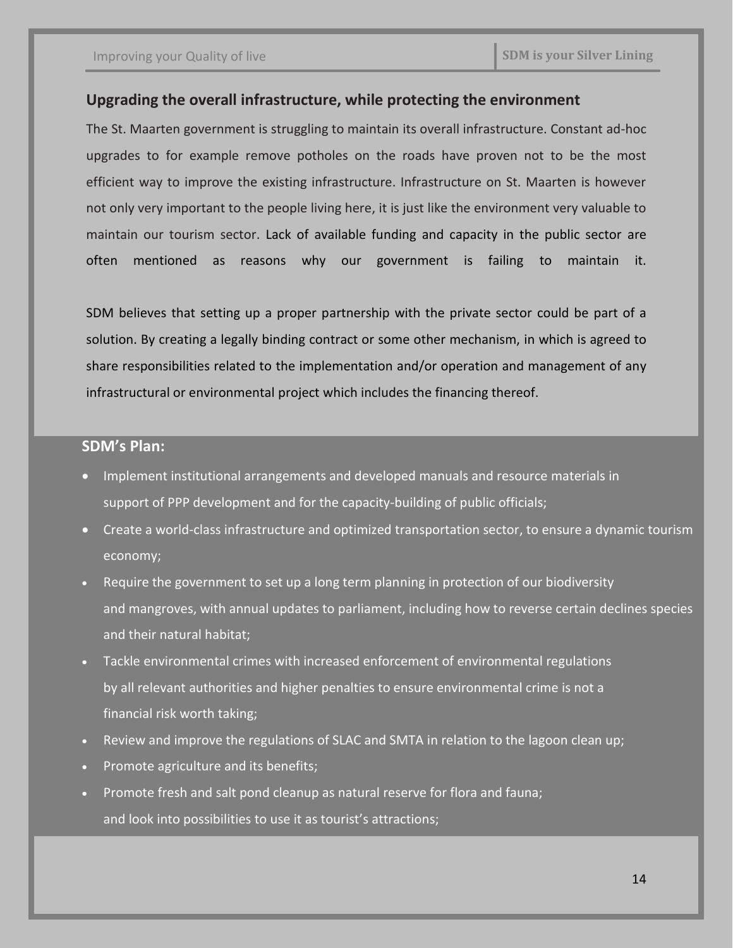### **Upgrading the overall infrastructure, while protecting the environment**

The St. Maarten government is struggling to maintain its overall infrastructure. Constant ad-hoc upgrades to for example remove potholes on the roads have proven not to be the most efficient way to improve the existing infrastructure. Infrastructure on St. Maarten is however not only very important to the people living here, it is just like the environment very valuable to maintain our tourism sector. Lack of available funding and capacity in the public sector are often mentioned as reasons why our government is failing to maintain it.

SDM believes that setting up a proper partnership with the private sector could be part of a solution. By creating a legally binding contract or some other mechanism, in which is agreed to share responsibilities related to the implementation and/or operation and management of any infrastructural or environmental project which includes the financing thereof.

- Implement institutional arrangements and developed manuals and resource materials in support of PPP development and for the capacity-building of public officials;
- Create a world-class infrastructure and optimized transportation sector, to ensure a dynamic tourism economy;
- Require the government to set up a long term planning in protection of our biodiversity and mangroves, with annual updates to parliament, including how to reverse certain declines species and their natural habitat;
- Tackle environmental crimes with increased enforcement of environmental regulations by all relevant authorities and higher penalties to ensure environmental crime is not a financial risk worth taking;
- Review and improve the regulations of SLAC and SMTA in relation to the lagoon clean up;
- Promote agriculture and its benefits;
- Promote fresh and salt pond cleanup as natural reserve for flora and fauna; and look into possibilities to use it as tourist's attractions;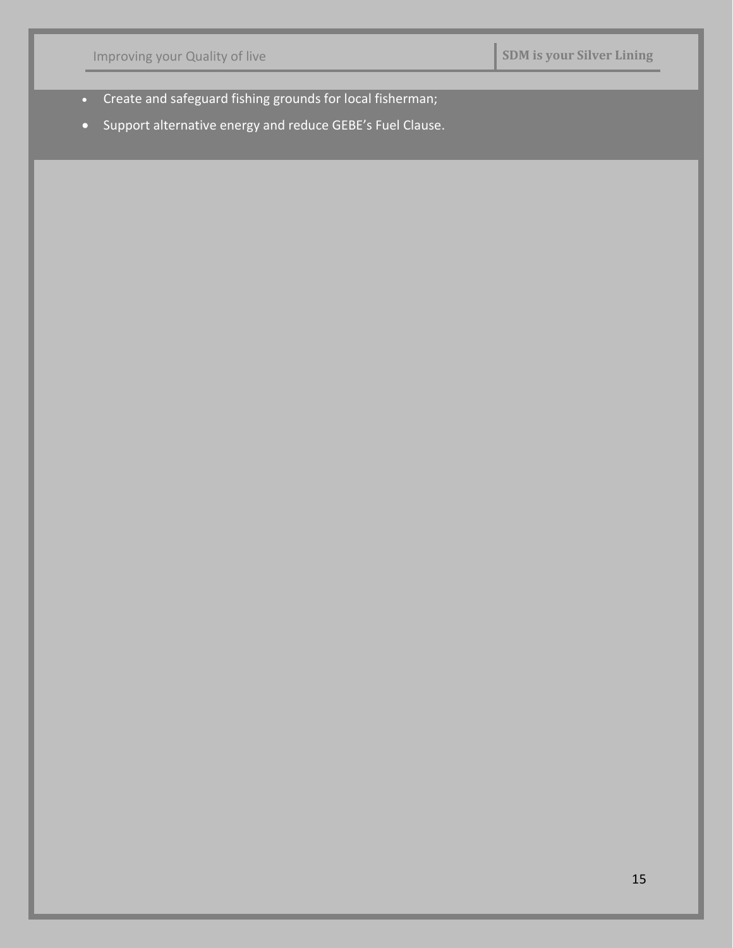| Improving your Quality of live |                                                                                                                        | <b>SDM</b> is your Silver Lining |  |
|--------------------------------|------------------------------------------------------------------------------------------------------------------------|----------------------------------|--|
| $\bullet$<br>$\bullet$         | Create and safeguard fishing grounds for local fisherman;<br>Support alternative energy and reduce GEBE's Fuel Clause. |                                  |  |
|                                |                                                                                                                        |                                  |  |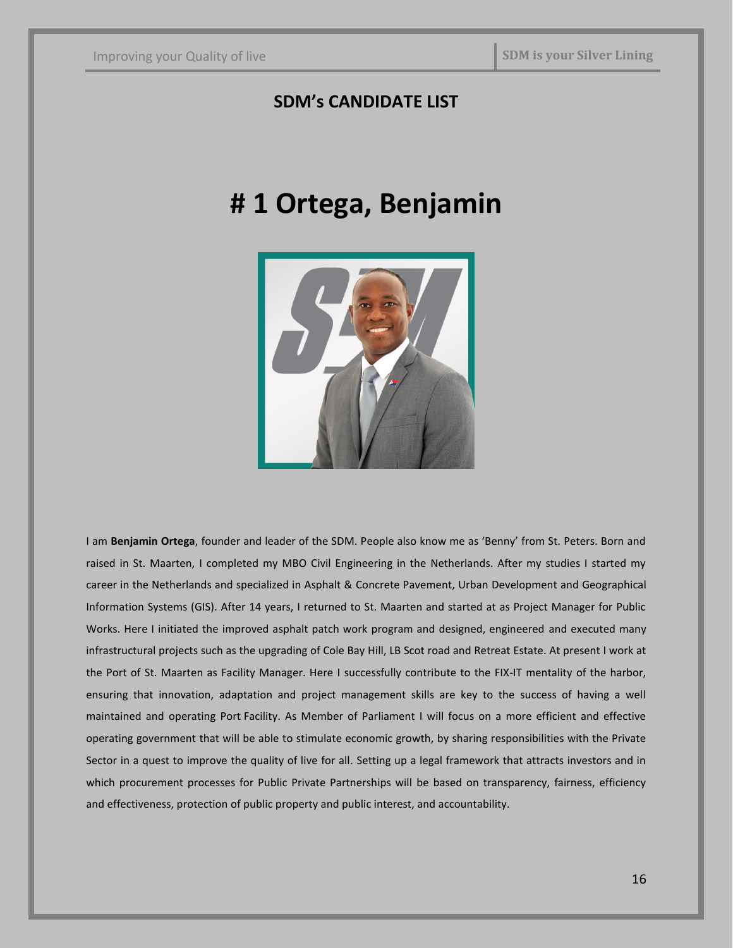# **SDM's CANDIDATE LIST**

# **# 1 Ortega, Benjamin**



I am **Benjamin Ortega**, founder and leader of the SDM. People also know me as 'Benny' from St. Peters. Born and raised in St. Maarten, I completed my MBO Civil Engineering in the Netherlands. After my studies I started my career in the Netherlands and specialized in Asphalt & Concrete Pavement, Urban Development and Geographical Information Systems (GIS). After 14 years, I returned to St. Maarten and started at as Project Manager for Public Works. Here I initiated the improved asphalt patch work program and designed, engineered and executed many infrastructural projects such as the upgrading of Cole Bay Hill, LB Scot road and Retreat Estate. At present I work at the Port of St. Maarten as Facility Manager. Here I successfully contribute to the FIX-IT mentality of the harbor, ensuring that innovation, adaptation and project management skills are key to the success of having a well maintained and operating Port Facility. As Member of Parliament I will focus on a more efficient and effective operating government that will be able to stimulate economic growth, by sharing responsibilities with the Private Sector in a quest to improve the quality of live for all. Setting up a legal framework that attracts investors and in which procurement processes for Public Private Partnerships will be based on transparency, fairness, efficiency and effectiveness, protection of public property and public interest, and accountability.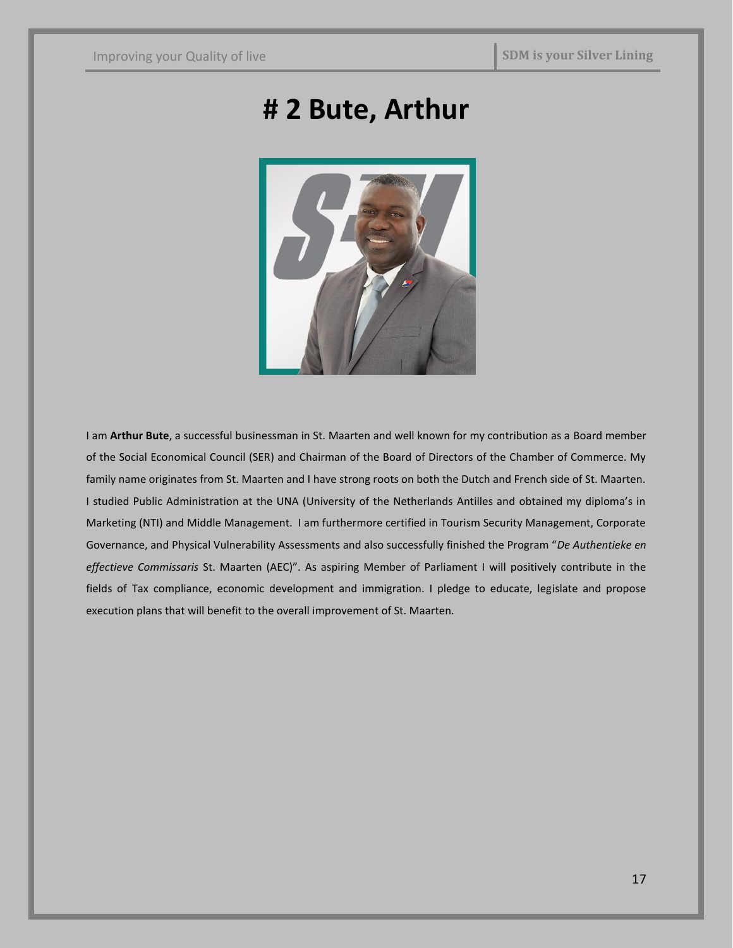# **# 2 Bute, Arthur**



I am **Arthur Bute**, a successful businessman in St. Maarten and well known for my contribution as a Board member of the Social Economical Council (SER) and Chairman of the Board of Directors of the Chamber of Commerce. My family name originates from St. Maarten and I have strong roots on both the Dutch and French side of St. Maarten. I studied Public Administration at the UNA (University of the Netherlands Antilles and obtained my diploma's in Marketing (NTI) and Middle Management. I am furthermore certified in Tourism Security Management, Corporate Governance, and Physical Vulnerability Assessments and also successfully finished the Program "*De Authentieke en effectieve Commissaris* St. Maarten (AEC)". As aspiring Member of Parliament I will positively contribute in the fields of Tax compliance, economic development and immigration. I pledge to educate, legislate and propose execution plans that will benefit to the overall improvement of St. Maarten.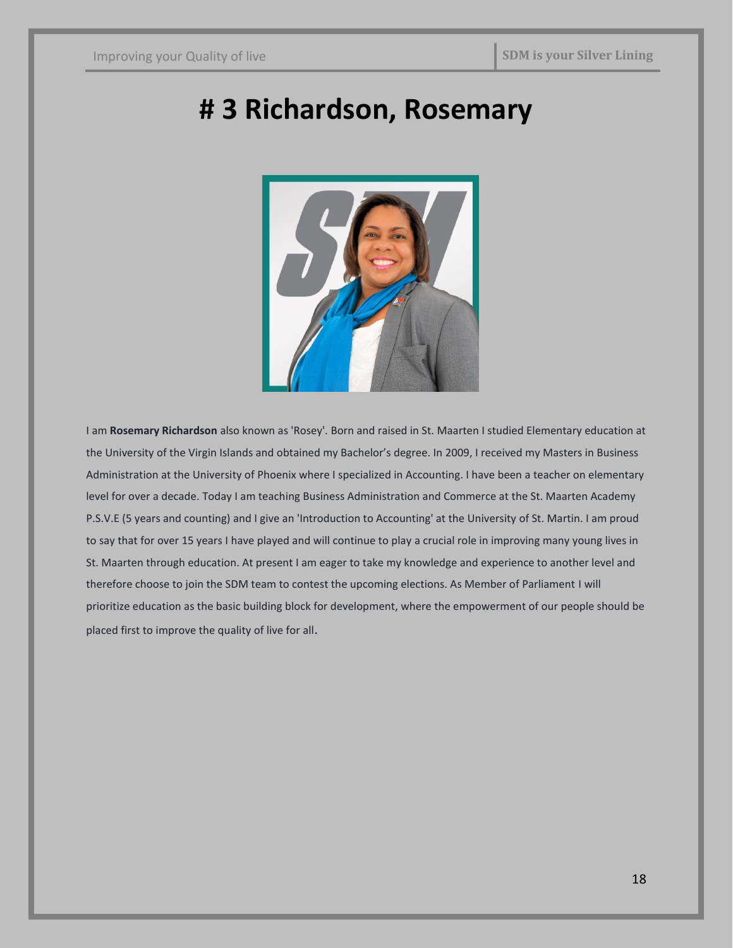# **# 3 Richardson, Rosemary**



I am **Rosemary Richardson** also known as 'Rosey'. Born and raised in St. Maarten I studied Elementary education at the University of the Virgin Islands and obtained my Bachelor's degree. In 2009, I received my Masters in Business Administration at the University of Phoenix where I specialized in Accounting. I have been a teacher on elementary level for over a decade. Today I am teaching Business Administration and Commerce at the St. Maarten Academy P.S.V.E (5 years and counting) and I give an 'Introduction to Accounting' at the University of St. Martin. I am proud to say that for over 15 years I have played and will continue to play a crucial role in improving many young lives in St. Maarten through education. At present I am eager to take my knowledge and experience to another level and therefore choose to join the SDM team to contest the upcoming elections. As Member of Parliament I will prioritize education as the basic building block for development, where the empowerment of our people should be placed first to improve the quality of live for all.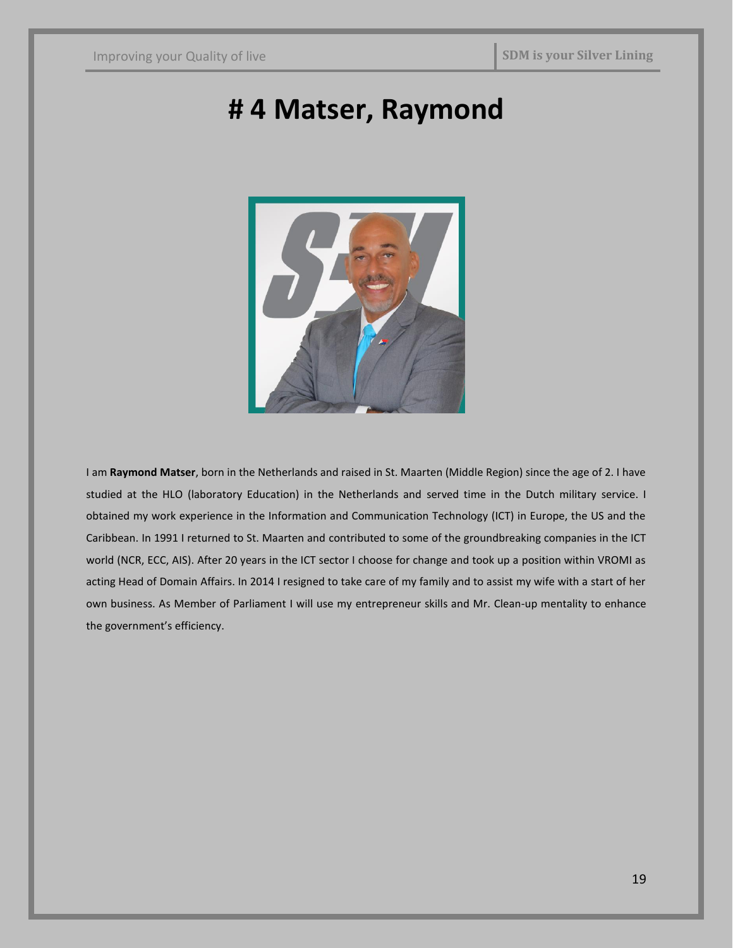# **# 4 Matser, Raymond**



I am **Raymond Matser**, born in the Netherlands and raised in St. Maarten (Middle Region) since the age of 2. I have studied at the HLO (laboratory Education) in the Netherlands and served time in the Dutch military service. I obtained my work experience in the Information and Communication Technology (ICT) in Europe, the US and the Caribbean. In 1991 I returned to St. Maarten and contributed to some of the groundbreaking companies in the ICT world (NCR, ECC, AIS). After 20 years in the ICT sector I choose for change and took up a position within VROMI as acting Head of Domain Affairs. In 2014 I resigned to take care of my family and to assist my wife with a start of her own business. As Member of Parliament I will use my entrepreneur skills and Mr. Clean-up mentality to enhance the government's efficiency.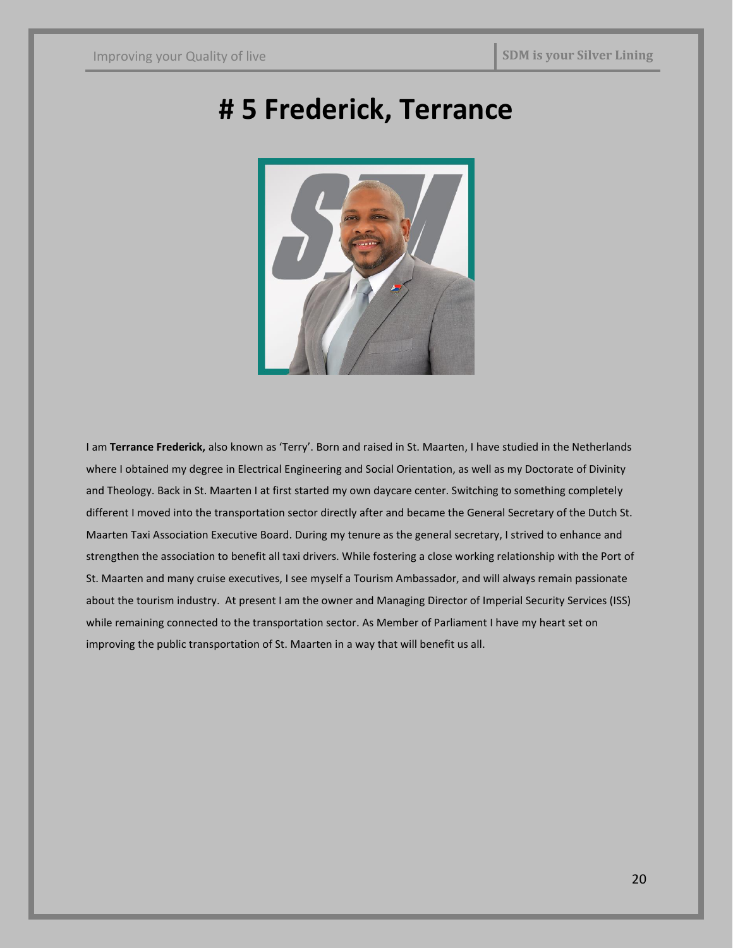# **# 5 Frederick, Terrance**



I am **Terrance Frederick,** also known as 'Terry'. Born and raised in St. Maarten, I have studied in the Netherlands where I obtained my degree in Electrical Engineering and Social Orientation, as well as my Doctorate of Divinity and Theology. Back in St. Maarten I at first started my own daycare center. Switching to something completely different I moved into the transportation sector directly after and became the General Secretary of the Dutch St. Maarten Taxi Association Executive Board. During my tenure as the general secretary, I strived to enhance and strengthen the association to benefit all taxi drivers. While fostering a close working relationship with the Port of St. Maarten and many cruise executives, I see myself a Tourism Ambassador, and will always remain passionate about the tourism industry. At present I am the owner and Managing Director of Imperial Security Services (ISS) while remaining connected to the transportation sector. As Member of Parliament I have my heart set on improving the public transportation of St. Maarten in a way that will benefit us all.